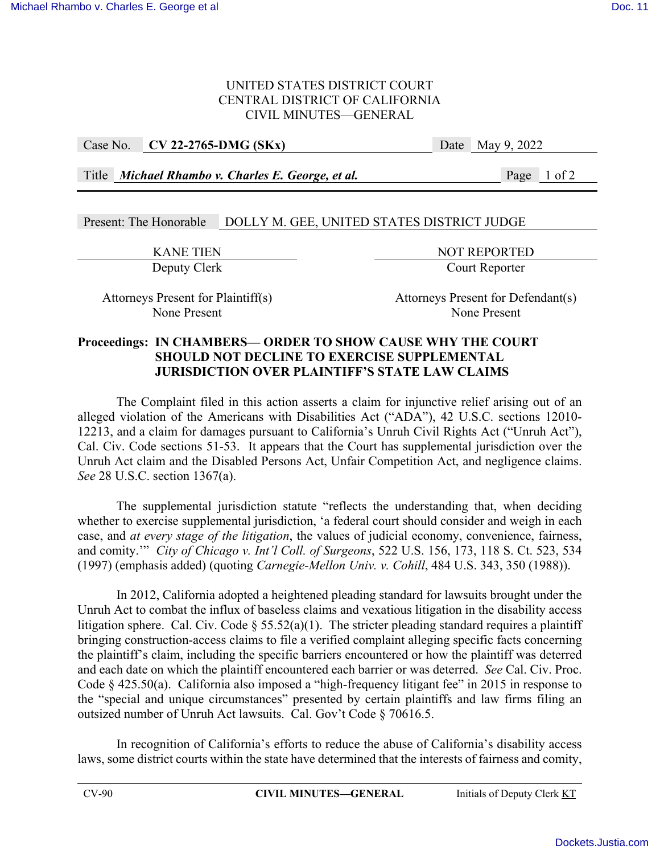### UNITED STATES DISTRICT COURT CENTRAL DISTRICT OF CALIFORNIA CIVIL MINUTES—GENERAL

Case No. **CV 22-2765-DMG (SKx)** Date May 9, 2022

Title *Michael Rhambo v. Charles E. George, et al.* Page 1 of 2

## Present: The Honorable DOLLY M. GEE, UNITED STATES DISTRICT JUDGE

EXANE TIEN<br>Deputy Clerk<br>Deputy Clerk<br>Deputy Clerk Court Reporter

Attorneys Present for Plaintiff(s) Attorneys Present for Defendant(s) None Present None Present

### **Proceedings: IN CHAMBERS— ORDER TO SHOW CAUSE WHY THE COURT SHOULD NOT DECLINE TO EXERCISE SUPPLEMENTAL JURISDICTION OVER PLAINTIFF'S STATE LAW CLAIMS**

The Complaint filed in this action asserts a claim for injunctive relief arising out of an alleged violation of the Americans with Disabilities Act ("ADA"), 42 U.S.C. sections 12010- 12213, and a claim for damages pursuant to California's Unruh Civil Rights Act ("Unruh Act"), Cal. Civ. Code sections 51-53. It appears that the Court has supplemental jurisdiction over the Unruh Act claim and the Disabled Persons Act, Unfair Competition Act, and negligence claims. *See* 28 U.S.C. section 1367(a).

The supplemental jurisdiction statute "reflects the understanding that, when deciding whether to exercise supplemental jurisdiction, 'a federal court should consider and weigh in each case, and *at every stage of the litigation*, the values of judicial economy, convenience, fairness, and comity.'" *City of Chicago v. Int'l Coll. of Surgeons*, 522 U.S. 156, 173, 118 S. Ct. 523, 534 (1997) (emphasis added) (quoting *Carnegie-Mellon Univ. v. Cohill*, 484 U.S. 343, 350 (1988)).

In 2012, California adopted a heightened pleading standard for lawsuits brought under the Unruh Act to combat the influx of baseless claims and vexatious litigation in the disability access litigation sphere. Cal. Civ. Code  $\S 55.52(a)(1)$ . The stricter pleading standard requires a plaintiff bringing construction-access claims to file a verified complaint alleging specific facts concerning the plaintiff's claim, including the specific barriers encountered or how the plaintiff was deterred and each date on which the plaintiff encountered each barrier or was deterred. *See* Cal. Civ. Proc. Code § 425.50(a). California also imposed a "high-frequency litigant fee" in 2015 in response to the "special and unique circumstances" presented by certain plaintiffs and law firms filing an outsized number of Unruh Act lawsuits. Cal. Gov't Code § 70616.5.

In recognition of California's efforts to reduce the abuse of California's disability access laws, some district courts within the state have determined that the interests of fairness and comity,